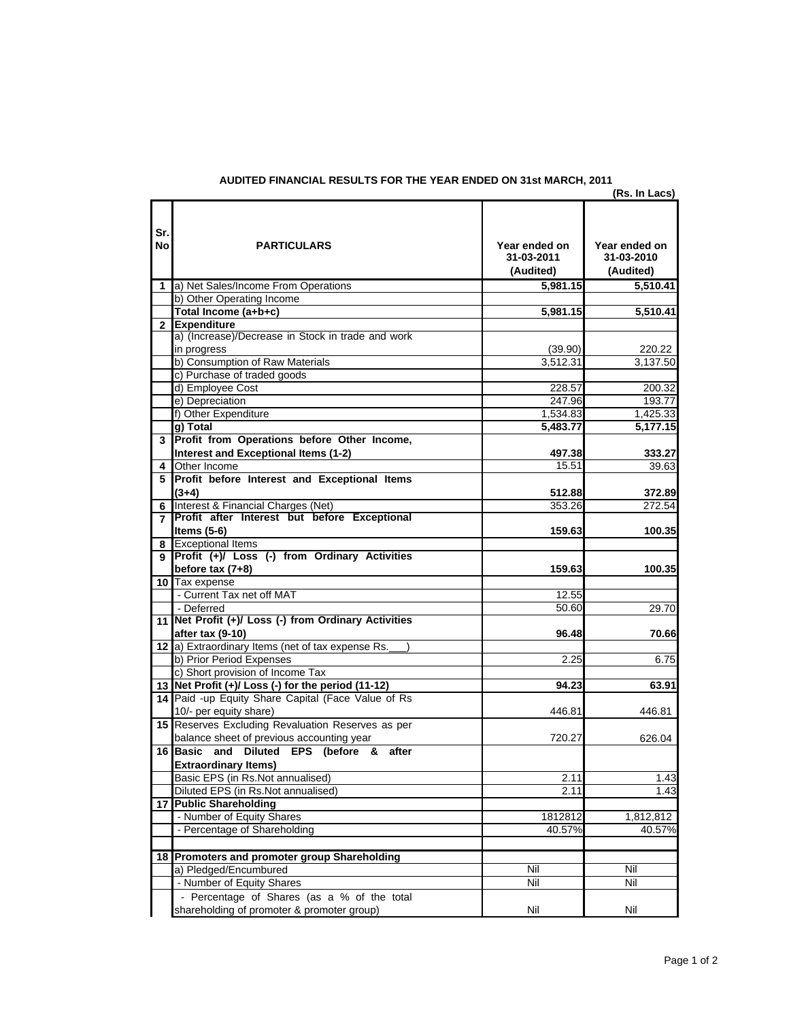|                |                                                      |                                          | (Rs. In Lacs)                            |
|----------------|------------------------------------------------------|------------------------------------------|------------------------------------------|
| Sr.<br>No      | <b>PARTICULARS</b>                                   | Year ended on<br>31-03-2011<br>(Audited) | Year ended on<br>31-03-2010<br>(Audited) |
| 1              | a) Net Sales/Income From Operations                  | 5.981.15                                 | 5.510.41                                 |
|                | b) Other Operating Income                            |                                          |                                          |
|                | Total Income (a+b+c)                                 | 5,981.15                                 | 5,510.41                                 |
| $\mathbf{2}$   | <b>Expenditure</b>                                   |                                          |                                          |
|                | a) (Increase)/Decrease in Stock in trade and work    |                                          |                                          |
|                | in progress                                          | (39.90)                                  | 220.22                                   |
|                | b) Consumption of Raw Materials                      | 3.512.31                                 | 3,137.50                                 |
|                | c) Purchase of traded goods                          |                                          |                                          |
|                | d) Employee Cost                                     | 228.57                                   | 200.32                                   |
|                | e) Depreciation                                      | 247.96                                   | 193.77                                   |
|                | f) Other Expenditure                                 | 1,534.83                                 | 1,425.33                                 |
|                | a) Total                                             | 5,483.77                                 | 5,177.15                                 |
| 3              | Profit from Operations before Other Income,          |                                          |                                          |
|                | Interest and Exceptional Items (1-2)                 | 497.38                                   | 333.27                                   |
| 4              | Other Income                                         | 15.51                                    | 39.63                                    |
| 5              | Profit before Interest and Exceptional Items         |                                          |                                          |
|                | $(3+4)$                                              | 512.88                                   | 372.89                                   |
| 6              | Interest & Financial Charges (Net)                   | 353.26                                   | 272.54                                   |
| $\overline{7}$ | Profit after Interest but before Exceptional         |                                          |                                          |
|                | Items $(5-6)$                                        | 159.63                                   | 100.35                                   |
| 8              | <b>Exceptional Items</b>                             |                                          |                                          |
| 9              | Profit (+)/ Loss (-) from Ordinary Activities        |                                          |                                          |
|                | before $tax(7+8)$                                    | 159.63                                   | 100.35                                   |
|                | 10 Tax expense                                       |                                          |                                          |
|                | - Current Tax net off MAT                            | 12.55                                    |                                          |
|                | - Deferred                                           | 50.60                                    | 29.70                                    |
|                | 11 Net Profit (+)/ Loss (-) from Ordinary Activities |                                          |                                          |
|                | after tax (9-10)                                     | 96.48                                    | 70.66                                    |
|                | 12 a) Extraordinary Items (net of tax expense Rs.    |                                          |                                          |
|                | b) Prior Period Expenses                             | 2.25                                     | 6.75                                     |
|                | c) Short provision of Income Tax                     |                                          |                                          |
|                | 13 Net Profit (+)/ Loss (-) for the period (11-12)   | 94.23                                    | 63.91                                    |
|                | 14 Paid -up Equity Share Capital (Face Value of Rs   |                                          |                                          |
|                | 10/- per equity share)                               | 446.81                                   | 446.81                                   |
|                | 15 Reserves Excluding Revaluation Reserves as per    |                                          |                                          |
|                | balance sheet of previous accounting year            | 720.27                                   | 626.04                                   |
|                | 16 Basic and Diluted EPS (before & after             |                                          |                                          |
|                | <b>Extraordinary Items)</b>                          |                                          |                                          |
|                | Basic EPS (in Rs.Not annualised)                     | 2.11                                     | 1.43                                     |
|                | Diluted EPS (in Rs.Not annualised)                   | 2.11                                     | 1.43                                     |
|                | 17 Public Shareholding                               |                                          |                                          |
|                | - Number of Equity Shares                            | 1812812                                  | 1,812,812                                |
|                | - Percentage of Shareholding                         | 40.57%                                   | 40.57%                                   |
|                |                                                      |                                          |                                          |
|                | 18 Promoters and promoter group Shareholding         |                                          |                                          |
|                | a) Pledged/Encumbured                                | Nil                                      | Nil                                      |
|                | - Number of Equity Shares                            | Nil                                      | Nil                                      |
|                | - Percentage of Shares (as a % of the total          |                                          |                                          |
|                | shareholding of promoter & promoter group)           | Nil                                      | Nil                                      |
|                |                                                      |                                          |                                          |

## **AUDITED FINANCIAL RESULTS FOR THE YEAR ENDED ON 31st MARCH, 2011**